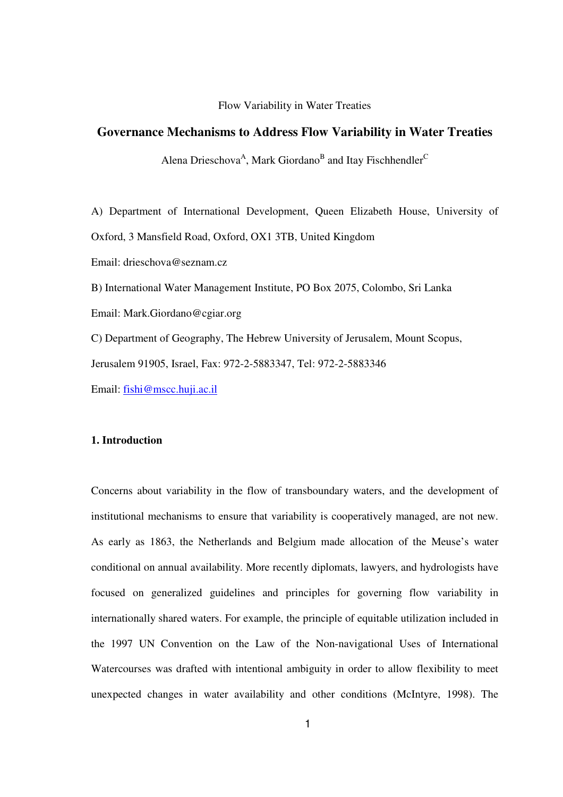# **Governance Mechanisms to Address Flow Variability in Water Treaties**

Alena Drieschova<sup>A</sup>, Mark Giordano<sup>B</sup> and Itay Fischhendler<sup>C</sup>

A) Department of International Development, Queen Elizabeth House, University of Oxford, 3 Mansfield Road, Oxford, OX1 3TB, United Kingdom Email: drieschova@seznam.cz B) International Water Management Institute, PO Box 2075, Colombo, Sri Lanka Email: Mark.Giordano@cgiar.org C) Department of Geography, The Hebrew University of Jerusalem, Mount Scopus, Jerusalem 91905, Israel, Fax: 972-2-5883347, Tel: 972-2-5883346 Email: fishi@mscc.huji.ac.il

#### **1. Introduction**

Concerns about variability in the flow of transboundary waters, and the development of institutional mechanisms to ensure that variability is cooperatively managed, are not new. As early as 1863, the Netherlands and Belgium made allocation of the Meuse's water conditional on annual availability. More recently diplomats, lawyers, and hydrologists have focused on generalized guidelines and principles for governing flow variability in internationally shared waters. For example, the principle of equitable utilization included in the 1997 UN Convention on the Law of the Non-navigational Uses of International Watercourses was drafted with intentional ambiguity in order to allow flexibility to meet unexpected changes in water availability and other conditions (McIntyre, 1998). The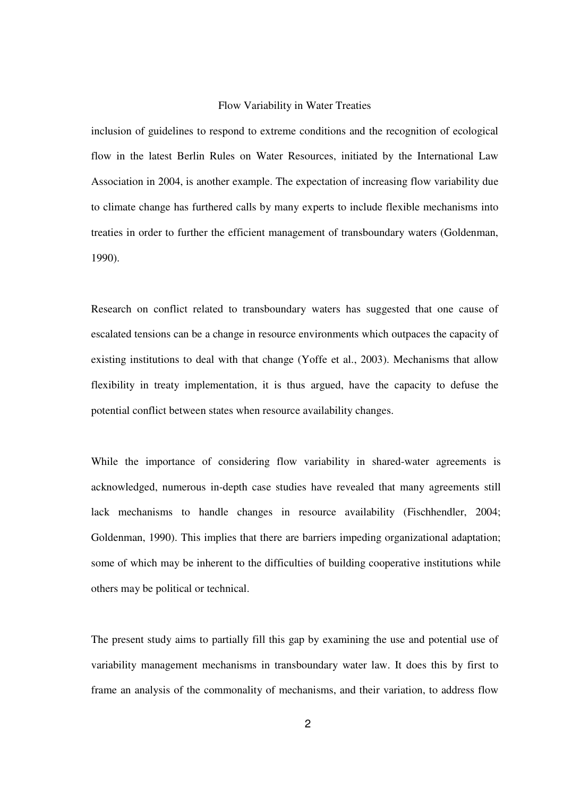inclusion of guidelines to respond to extreme conditions and the recognition of ecological flow in the latest Berlin Rules on Water Resources, initiated by the International Law Association in 2004, is another example. The expectation of increasing flow variability due to climate change has furthered calls by many experts to include flexible mechanisms into treaties in order to further the efficient management of transboundary waters (Goldenman, 1990).

Research on conflict related to transboundary waters has suggested that one cause of escalated tensions can be a change in resource environments which outpaces the capacity of existing institutions to deal with that change (Yoffe et al., 2003). Mechanisms that allow flexibility in treaty implementation, it is thus argued, have the capacity to defuse the potential conflict between states when resource availability changes.

While the importance of considering flow variability in shared-water agreements is acknowledged, numerous in-depth case studies have revealed that many agreements still lack mechanisms to handle changes in resource availability (Fischhendler, 2004; Goldenman, 1990). This implies that there are barriers impeding organizational adaptation; some of which may be inherent to the difficulties of building cooperative institutions while others may be political or technical.

The present study aims to partially fill this gap by examining the use and potential use of variability management mechanisms in transboundary water law. It does this by first to frame an analysis of the commonality of mechanisms, and their variation, to address flow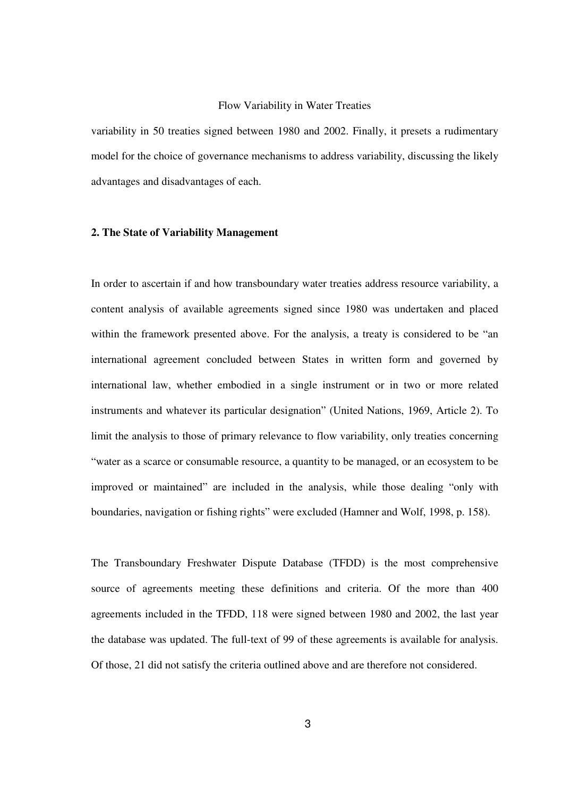variability in 50 treaties signed between 1980 and 2002. Finally, it presets a rudimentary model for the choice of governance mechanisms to address variability, discussing the likely advantages and disadvantages of each.

## **2. The State of Variability Management**

In order to ascertain if and how transboundary water treaties address resource variability, a content analysis of available agreements signed since 1980 was undertaken and placed within the framework presented above. For the analysis, a treaty is considered to be "an international agreement concluded between States in written form and governed by international law, whether embodied in a single instrument or in two or more related instruments and whatever its particular designation" (United Nations, 1969, Article 2). To limit the analysis to those of primary relevance to flow variability, only treaties concerning "water as a scarce or consumable resource, a quantity to be managed, or an ecosystem to be improved or maintained" are included in the analysis, while those dealing "only with boundaries, navigation or fishing rights" were excluded (Hamner and Wolf, 1998, p. 158).

The Transboundary Freshwater Dispute Database (TFDD) is the most comprehensive source of agreements meeting these definitions and criteria. Of the more than 400 agreements included in the TFDD, 118 were signed between 1980 and 2002, the last year the database was updated. The full-text of 99 of these agreements is available for analysis. Of those, 21 did not satisfy the criteria outlined above and are therefore not considered.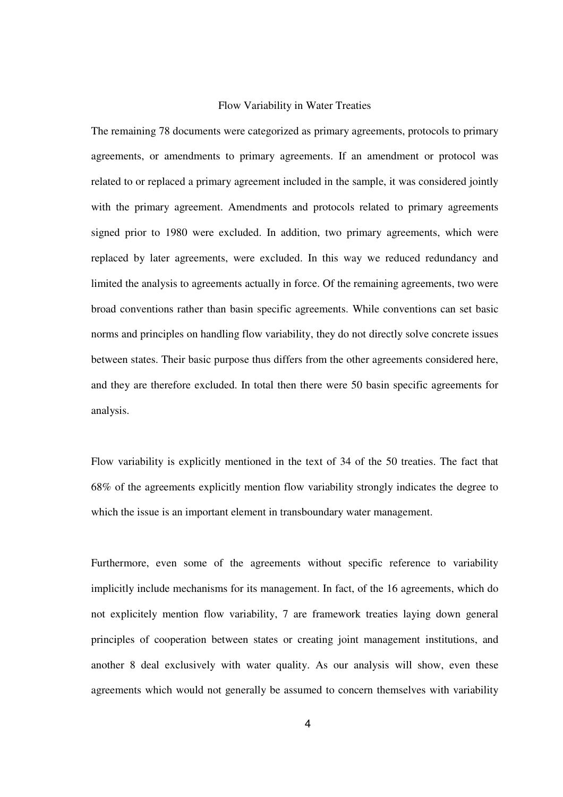The remaining 78 documents were categorized as primary agreements, protocols to primary agreements, or amendments to primary agreements. If an amendment or protocol was related to or replaced a primary agreement included in the sample, it was considered jointly with the primary agreement. Amendments and protocols related to primary agreements signed prior to 1980 were excluded. In addition, two primary agreements, which were replaced by later agreements, were excluded. In this way we reduced redundancy and limited the analysis to agreements actually in force. Of the remaining agreements, two were broad conventions rather than basin specific agreements. While conventions can set basic norms and principles on handling flow variability, they do not directly solve concrete issues between states. Their basic purpose thus differs from the other agreements considered here, and they are therefore excluded. In total then there were 50 basin specific agreements for analysis.

Flow variability is explicitly mentioned in the text of 34 of the 50 treaties. The fact that 68% of the agreements explicitly mention flow variability strongly indicates the degree to which the issue is an important element in transboundary water management.

Furthermore, even some of the agreements without specific reference to variability implicitly include mechanisms for its management. In fact, of the 16 agreements, which do not explicitely mention flow variability, 7 are framework treaties laying down general principles of cooperation between states or creating joint management institutions, and another 8 deal exclusively with water quality. As our analysis will show, even these agreements which would not generally be assumed to concern themselves with variability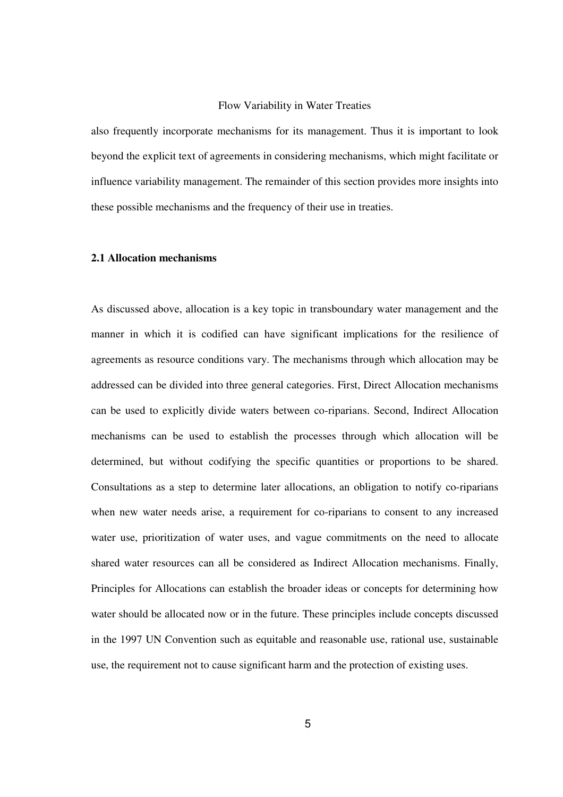also frequently incorporate mechanisms for its management. Thus it is important to look beyond the explicit text of agreements in considering mechanisms, which might facilitate or influence variability management. The remainder of this section provides more insights into these possible mechanisms and the frequency of their use in treaties.

## **2.1 Allocation mechanisms**

As discussed above, allocation is a key topic in transboundary water management and the manner in which it is codified can have significant implications for the resilience of agreements as resource conditions vary. The mechanisms through which allocation may be addressed can be divided into three general categories. First, Direct Allocation mechanisms can be used to explicitly divide waters between co-riparians. Second, Indirect Allocation mechanisms can be used to establish the processes through which allocation will be determined, but without codifying the specific quantities or proportions to be shared. Consultations as a step to determine later allocations, an obligation to notify co-riparians when new water needs arise, a requirement for co-riparians to consent to any increased water use, prioritization of water uses, and vague commitments on the need to allocate shared water resources can all be considered as Indirect Allocation mechanisms. Finally, Principles for Allocations can establish the broader ideas or concepts for determining how water should be allocated now or in the future. These principles include concepts discussed in the 1997 UN Convention such as equitable and reasonable use, rational use, sustainable use, the requirement not to cause significant harm and the protection of existing uses.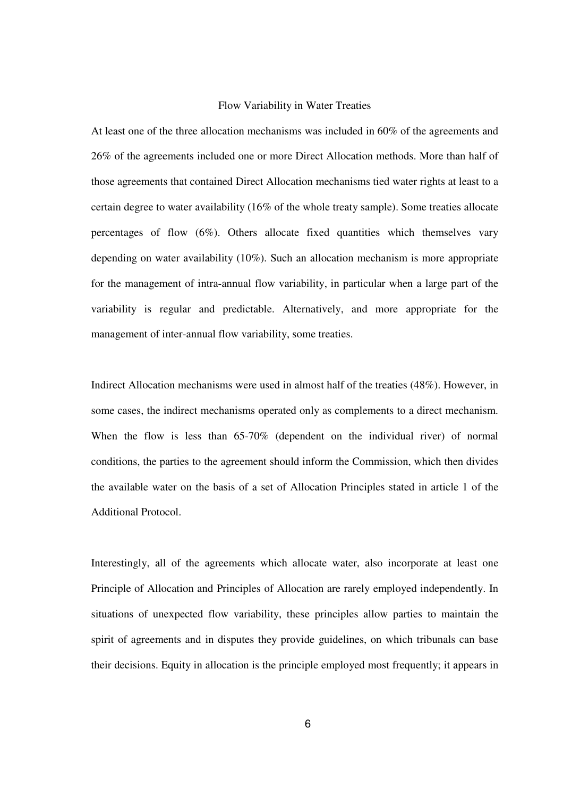At least one of the three allocation mechanisms was included in 60% of the agreements and 26% of the agreements included one or more Direct Allocation methods. More than half of those agreements that contained Direct Allocation mechanisms tied water rights at least to a certain degree to water availability (16% of the whole treaty sample). Some treaties allocate percentages of flow (6%). Others allocate fixed quantities which themselves vary depending on water availability (10%). Such an allocation mechanism is more appropriate for the management of intra-annual flow variability, in particular when a large part of the variability is regular and predictable. Alternatively, and more appropriate for the management of inter-annual flow variability, some treaties.

Indirect Allocation mechanisms were used in almost half of the treaties (48%). However, in some cases, the indirect mechanisms operated only as complements to a direct mechanism. When the flow is less than 65-70% (dependent on the individual river) of normal conditions, the parties to the agreement should inform the Commission, which then divides the available water on the basis of a set of Allocation Principles stated in article 1 of the Additional Protocol.

Interestingly, all of the agreements which allocate water, also incorporate at least one Principle of Allocation and Principles of Allocation are rarely employed independently. In situations of unexpected flow variability, these principles allow parties to maintain the spirit of agreements and in disputes they provide guidelines, on which tribunals can base their decisions. Equity in allocation is the principle employed most frequently; it appears in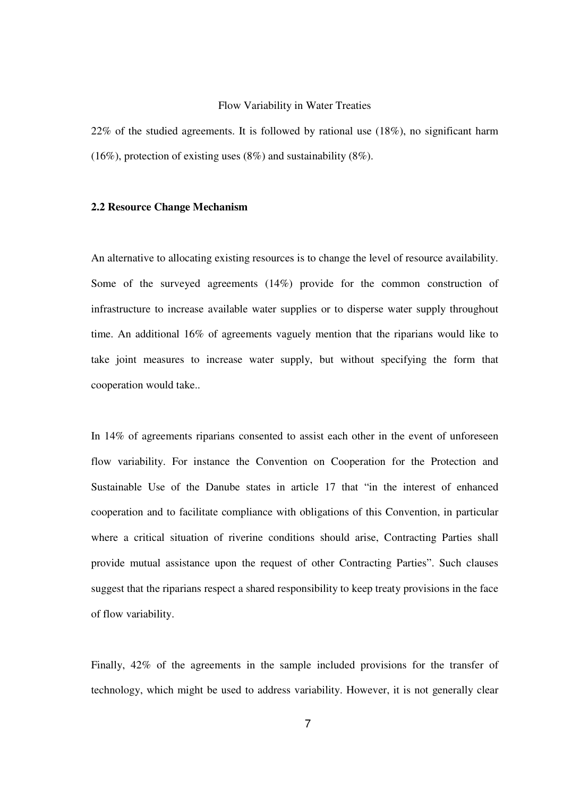22% of the studied agreements. It is followed by rational use (18%), no significant harm (16%), protection of existing uses (8%) and sustainability (8%).

#### **2.2 Resource Change Mechanism**

An alternative to allocating existing resources is to change the level of resource availability. Some of the surveyed agreements (14%) provide for the common construction of infrastructure to increase available water supplies or to disperse water supply throughout time. An additional 16% of agreements vaguely mention that the riparians would like to take joint measures to increase water supply, but without specifying the form that cooperation would take..

In 14% of agreements riparians consented to assist each other in the event of unforeseen flow variability. For instance the Convention on Cooperation for the Protection and Sustainable Use of the Danube states in article 17 that "in the interest of enhanced cooperation and to facilitate compliance with obligations of this Convention, in particular where a critical situation of riverine conditions should arise, Contracting Parties shall provide mutual assistance upon the request of other Contracting Parties". Such clauses suggest that the riparians respect a shared responsibility to keep treaty provisions in the face of flow variability.

Finally, 42% of the agreements in the sample included provisions for the transfer of technology, which might be used to address variability. However, it is not generally clear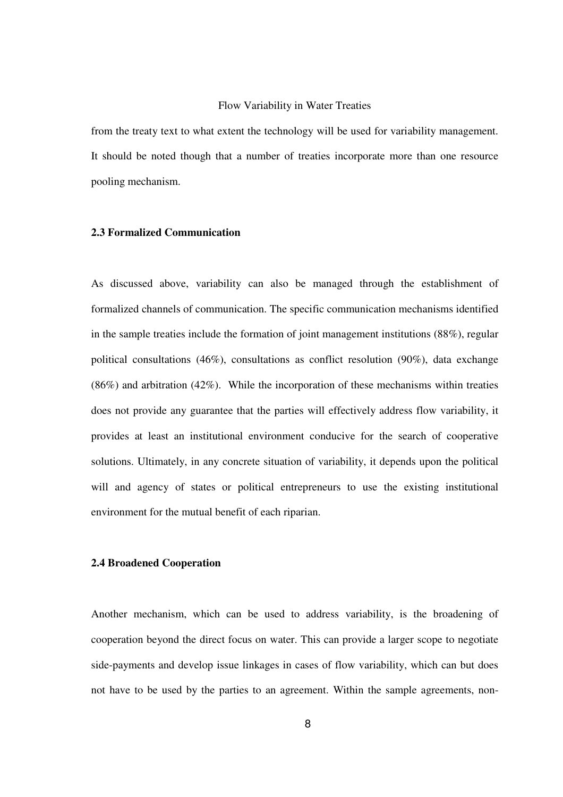from the treaty text to what extent the technology will be used for variability management. It should be noted though that a number of treaties incorporate more than one resource pooling mechanism.

# **2.3 Formalized Communication**

As discussed above, variability can also be managed through the establishment of formalized channels of communication. The specific communication mechanisms identified in the sample treaties include the formation of joint management institutions (88%), regular political consultations (46%), consultations as conflict resolution (90%), data exchange  $(86%)$  and arbitration  $(42%)$ . While the incorporation of these mechanisms within treaties does not provide any guarantee that the parties will effectively address flow variability, it provides at least an institutional environment conducive for the search of cooperative solutions. Ultimately, in any concrete situation of variability, it depends upon the political will and agency of states or political entrepreneurs to use the existing institutional environment for the mutual benefit of each riparian.

## **2.4 Broadened Cooperation**

Another mechanism, which can be used to address variability, is the broadening of cooperation beyond the direct focus on water. This can provide a larger scope to negotiate side-payments and develop issue linkages in cases of flow variability, which can but does not have to be used by the parties to an agreement. Within the sample agreements, non-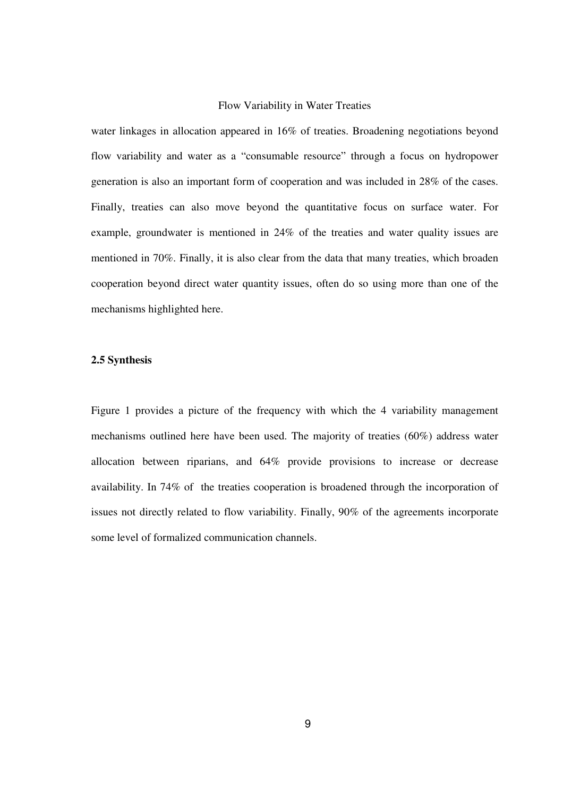water linkages in allocation appeared in 16% of treaties. Broadening negotiations beyond flow variability and water as a "consumable resource" through a focus on hydropower generation is also an important form of cooperation and was included in 28% of the cases. Finally, treaties can also move beyond the quantitative focus on surface water. For example, groundwater is mentioned in 24% of the treaties and water quality issues are mentioned in 70%. Finally, it is also clear from the data that many treaties, which broaden cooperation beyond direct water quantity issues, often do so using more than one of the mechanisms highlighted here.

#### **2.5 Synthesis**

Figure 1 provides a picture of the frequency with which the 4 variability management mechanisms outlined here have been used. The majority of treaties (60%) address water allocation between riparians, and 64% provide provisions to increase or decrease availability. In 74% of the treaties cooperation is broadened through the incorporation of issues not directly related to flow variability. Finally, 90% of the agreements incorporate some level of formalized communication channels.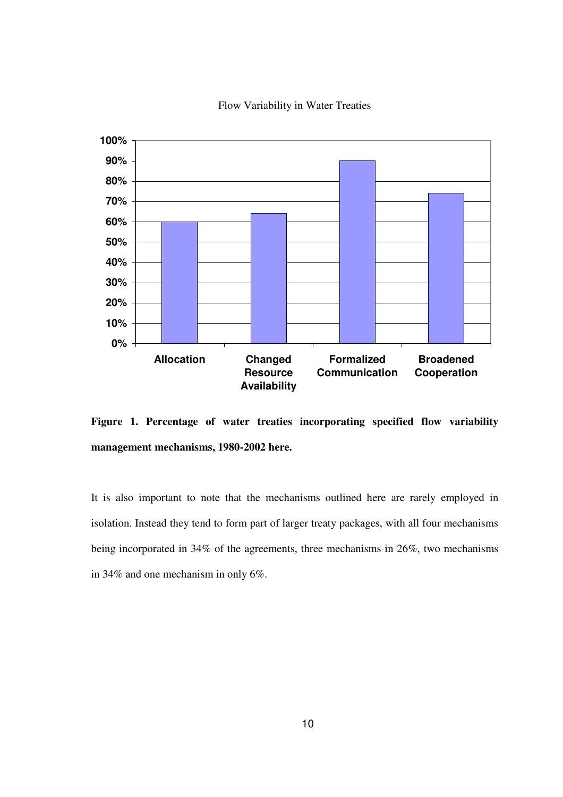

**Figure 1. Percentage of water treaties incorporating specified flow variability management mechanisms, 1980-2002 here.** 

It is also important to note that the mechanisms outlined here are rarely employed in isolation. Instead they tend to form part of larger treaty packages, with all four mechanisms being incorporated in 34% of the agreements, three mechanisms in 26%, two mechanisms in 34% and one mechanism in only 6%.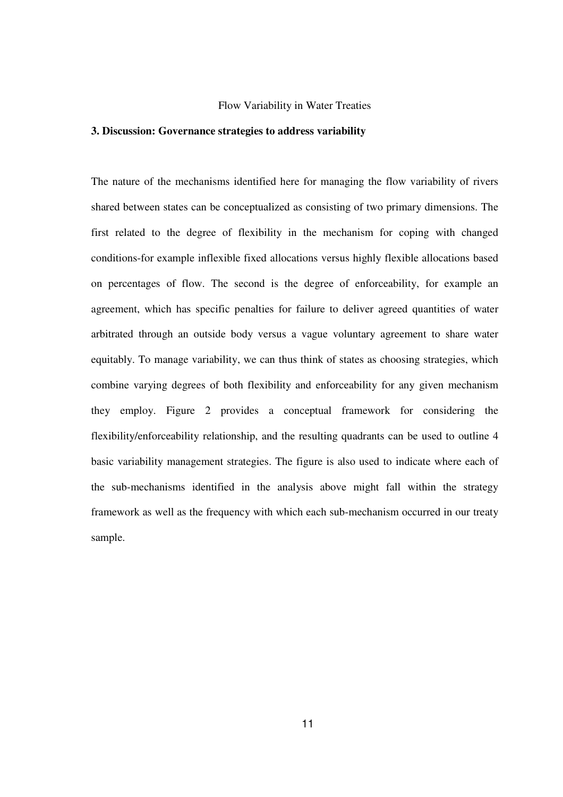#### **3. Discussion: Governance strategies to address variability**

The nature of the mechanisms identified here for managing the flow variability of rivers shared between states can be conceptualized as consisting of two primary dimensions. The first related to the degree of flexibility in the mechanism for coping with changed conditions-for example inflexible fixed allocations versus highly flexible allocations based on percentages of flow. The second is the degree of enforceability, for example an agreement, which has specific penalties for failure to deliver agreed quantities of water arbitrated through an outside body versus a vague voluntary agreement to share water equitably. To manage variability, we can thus think of states as choosing strategies, which combine varying degrees of both flexibility and enforceability for any given mechanism they employ. Figure 2 provides a conceptual framework for considering the flexibility/enforceability relationship, and the resulting quadrants can be used to outline 4 basic variability management strategies. The figure is also used to indicate where each of the sub-mechanisms identified in the analysis above might fall within the strategy framework as well as the frequency with which each sub-mechanism occurred in our treaty sample.

11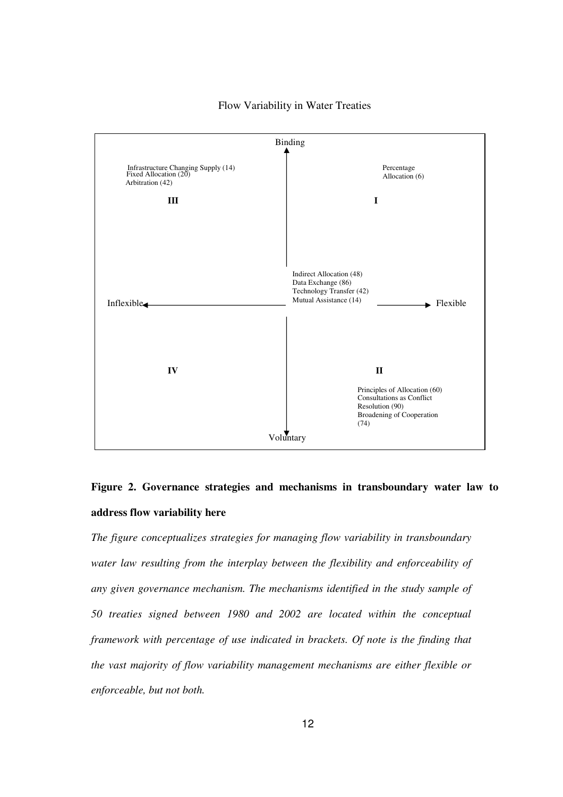

Flow Variability in Water Treaties

# **Figure 2. Governance strategies and mechanisms in transboundary water law to address flow variability here**

*The figure conceptualizes strategies for managing flow variability in transboundary water law resulting from the interplay between the flexibility and enforceability of any given governance mechanism. The mechanisms identified in the study sample of 50 treaties signed between 1980 and 2002 are located within the conceptual framework with percentage of use indicated in brackets. Of note is the finding that the vast majority of flow variability management mechanisms are either flexible or enforceable, but not both.*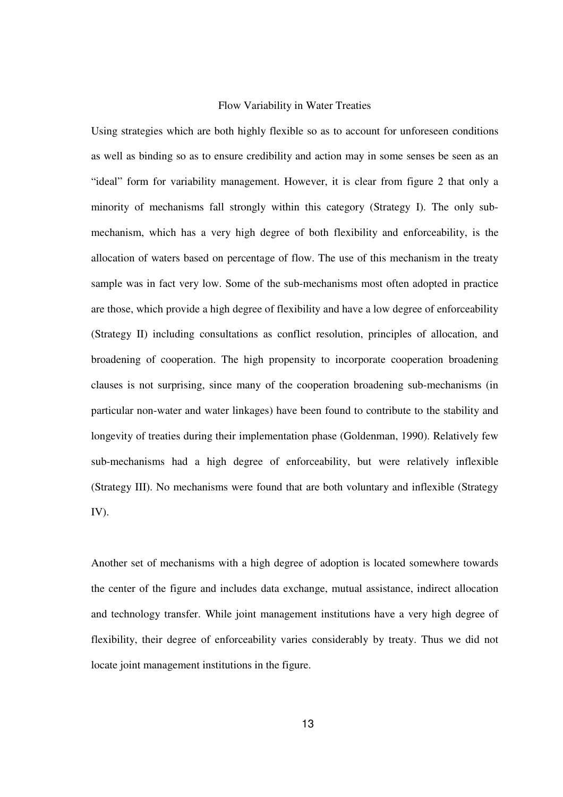Using strategies which are both highly flexible so as to account for unforeseen conditions as well as binding so as to ensure credibility and action may in some senses be seen as an "ideal" form for variability management. However, it is clear from figure 2 that only a minority of mechanisms fall strongly within this category (Strategy I). The only submechanism, which has a very high degree of both flexibility and enforceability, is the allocation of waters based on percentage of flow. The use of this mechanism in the treaty sample was in fact very low. Some of the sub-mechanisms most often adopted in practice are those, which provide a high degree of flexibility and have a low degree of enforceability (Strategy II) including consultations as conflict resolution, principles of allocation, and broadening of cooperation. The high propensity to incorporate cooperation broadening clauses is not surprising, since many of the cooperation broadening sub-mechanisms (in particular non-water and water linkages) have been found to contribute to the stability and longevity of treaties during their implementation phase (Goldenman, 1990). Relatively few sub-mechanisms had a high degree of enforceability, but were relatively inflexible (Strategy III). No mechanisms were found that are both voluntary and inflexible (Strategy IV).

Another set of mechanisms with a high degree of adoption is located somewhere towards the center of the figure and includes data exchange, mutual assistance, indirect allocation and technology transfer. While joint management institutions have a very high degree of flexibility, their degree of enforceability varies considerably by treaty. Thus we did not locate joint management institutions in the figure.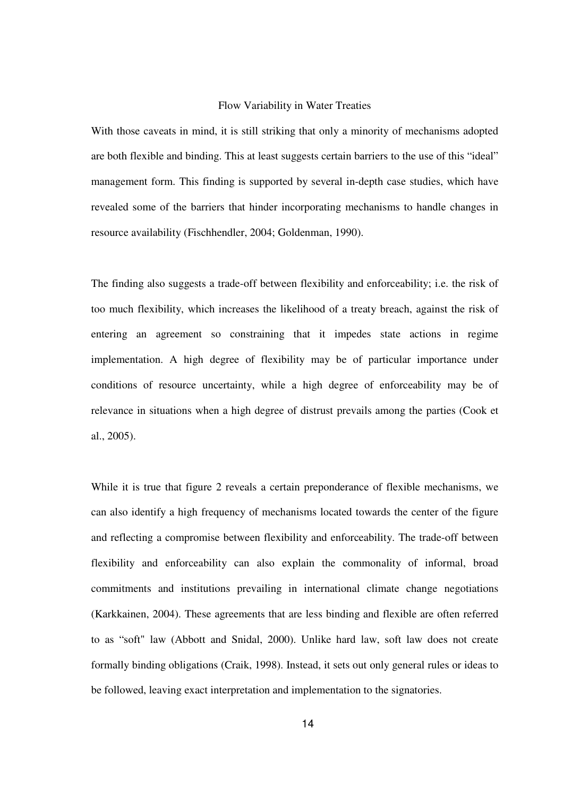With those caveats in mind, it is still striking that only a minority of mechanisms adopted are both flexible and binding. This at least suggests certain barriers to the use of this "ideal" management form. This finding is supported by several in-depth case studies, which have revealed some of the barriers that hinder incorporating mechanisms to handle changes in resource availability (Fischhendler, 2004; Goldenman, 1990).

The finding also suggests a trade-off between flexibility and enforceability; i.e. the risk of too much flexibility, which increases the likelihood of a treaty breach, against the risk of entering an agreement so constraining that it impedes state actions in regime implementation. A high degree of flexibility may be of particular importance under conditions of resource uncertainty, while a high degree of enforceability may be of relevance in situations when a high degree of distrust prevails among the parties (Cook et al., 2005).

While it is true that figure 2 reveals a certain preponderance of flexible mechanisms, we can also identify a high frequency of mechanisms located towards the center of the figure and reflecting a compromise between flexibility and enforceability. The trade-off between flexibility and enforceability can also explain the commonality of informal, broad commitments and institutions prevailing in international climate change negotiations (Karkkainen, 2004). These agreements that are less binding and flexible are often referred to as "soft" law (Abbott and Snidal, 2000). Unlike hard law, soft law does not create formally binding obligations (Craik, 1998). Instead, it sets out only general rules or ideas to be followed, leaving exact interpretation and implementation to the signatories.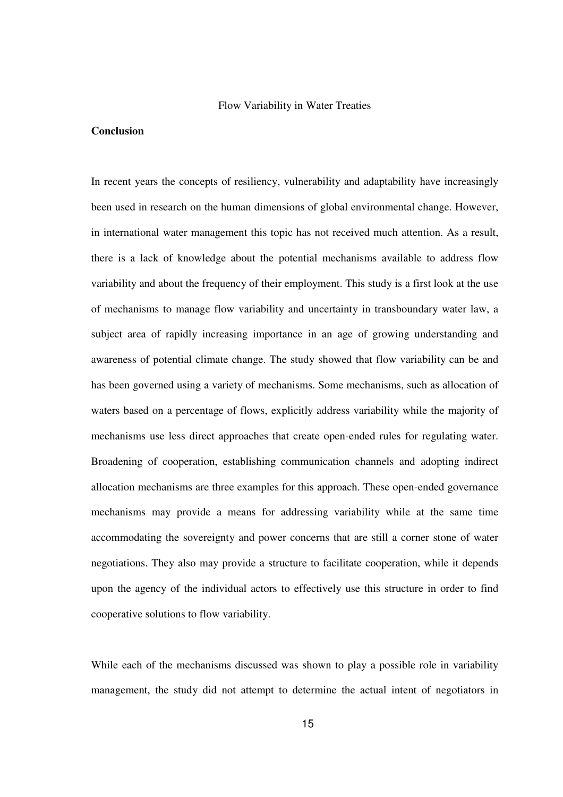## **Conclusion**

In recent years the concepts of resiliency, vulnerability and adaptability have increasingly been used in research on the human dimensions of global environmental change. However, in international water management this topic has not received much attention. As a result, there is a lack of knowledge about the potential mechanisms available to address flow variability and about the frequency of their employment. This study is a first look at the use of mechanisms to manage flow variability and uncertainty in transboundary water law, a subject area of rapidly increasing importance in an age of growing understanding and awareness of potential climate change. The study showed that flow variability can be and has been governed using a variety of mechanisms. Some mechanisms, such as allocation of waters based on a percentage of flows, explicitly address variability while the majority of mechanisms use less direct approaches that create open-ended rules for regulating water. Broadening of cooperation, establishing communication channels and adopting indirect allocation mechanisms are three examples for this approach. These open-ended governance mechanisms may provide a means for addressing variability while at the same time accommodating the sovereignty and power concerns that are still a corner stone of water negotiations. They also may provide a structure to facilitate cooperation, while it depends upon the agency of the individual actors to effectively use this structure in order to find cooperative solutions to flow variability.

While each of the mechanisms discussed was shown to play a possible role in variability management, the study did not attempt to determine the actual intent of negotiators in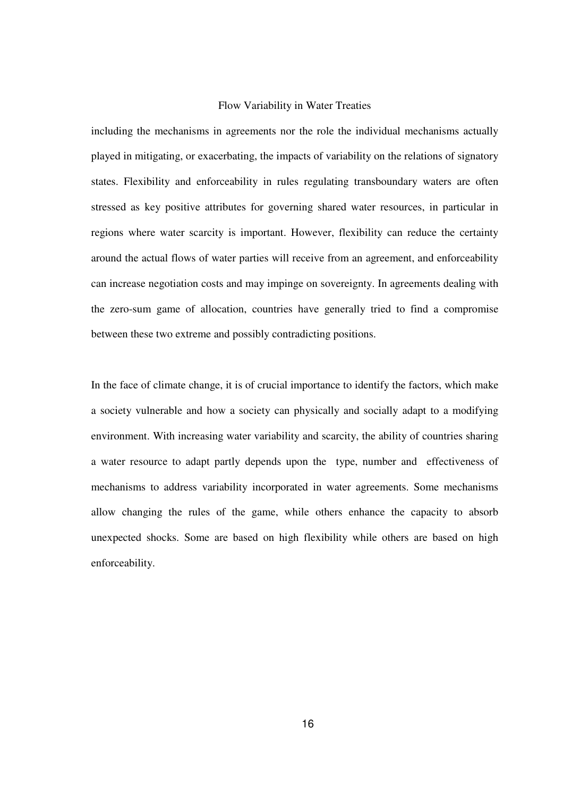including the mechanisms in agreements nor the role the individual mechanisms actually played in mitigating, or exacerbating, the impacts of variability on the relations of signatory states. Flexibility and enforceability in rules regulating transboundary waters are often stressed as key positive attributes for governing shared water resources, in particular in regions where water scarcity is important. However, flexibility can reduce the certainty around the actual flows of water parties will receive from an agreement, and enforceability can increase negotiation costs and may impinge on sovereignty. In agreements dealing with the zero-sum game of allocation, countries have generally tried to find a compromise between these two extreme and possibly contradicting positions.

In the face of climate change, it is of crucial importance to identify the factors, which make a society vulnerable and how a society can physically and socially adapt to a modifying environment. With increasing water variability and scarcity, the ability of countries sharing a water resource to adapt partly depends upon the type, number and effectiveness of mechanisms to address variability incorporated in water agreements. Some mechanisms allow changing the rules of the game, while others enhance the capacity to absorb unexpected shocks. Some are based on high flexibility while others are based on high enforceability.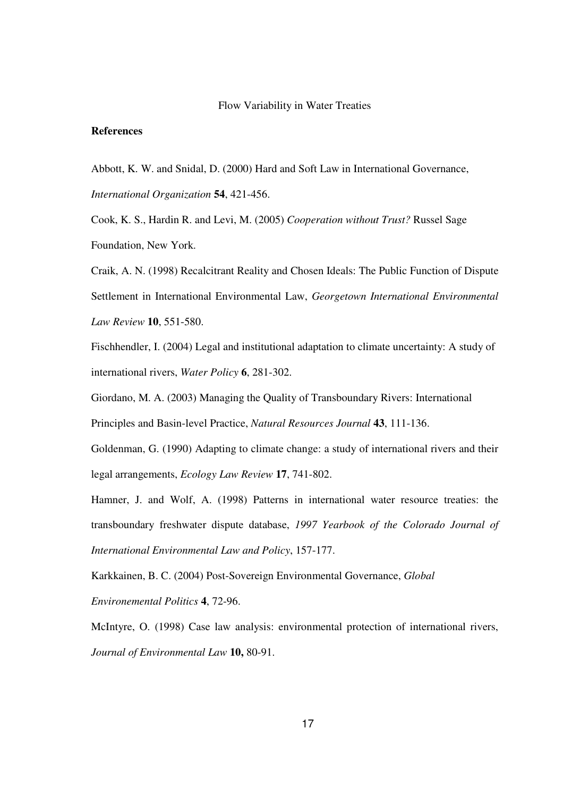## **References**

Abbott, K. W. and Snidal, D. (2000) Hard and Soft Law in International Governance, *International Organization* **54**, 421-456.

Cook, K. S., Hardin R. and Levi, M. (2005) *Cooperation without Trust?* Russel Sage Foundation, New York.

Craik, A. N. (1998) Recalcitrant Reality and Chosen Ideals: The Public Function of Dispute Settlement in International Environmental Law, *Georgetown International Environmental Law Review* **10**, 551-580.

Fischhendler, I. (2004) Legal and institutional adaptation to climate uncertainty: A study of international rivers, *Water Policy* **6**, 281-302.

Giordano, M. A. (2003) Managing the Quality of Transboundary Rivers: International Principles and Basin-level Practice, *Natural Resources Journal* **43**, 111-136.

Goldenman, G. (1990) Adapting to climate change: a study of international rivers and their legal arrangements, *Ecology Law Review* **17**, 741-802.

Hamner, J. and Wolf, A. (1998) Patterns in international water resource treaties: the transboundary freshwater dispute database, *1997 Yearbook of the Colorado Journal of International Environmental Law and Policy*, 157-177.

Karkkainen, B. C. (2004) Post-Sovereign Environmental Governance, *Global* 

*Environemental Politics* **4**, 72-96.

McIntyre, O. (1998) Case law analysis: environmental protection of international rivers, *Journal of Environmental Law* **10,** 80-91.